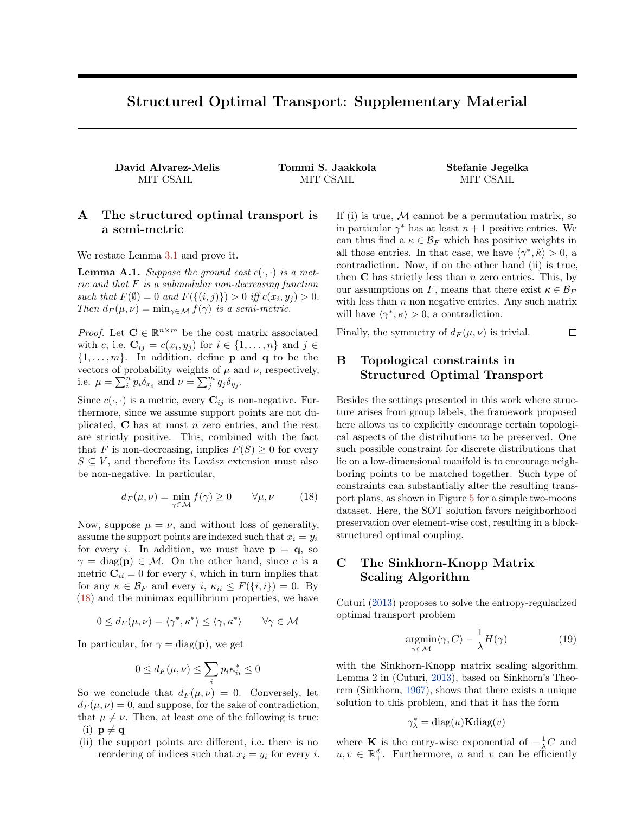# Structured Optimal Transport: Supplementary Material

<span id="page-0-4"></span>David Alvarez-Melis Tommi S. Jaakkola Stefanie Jegelka

MIT CSAIL MIT CSAIL MIT CSAIL

### A The structured optimal transport is a semi-metric

We restate Lemma [3.1](#page-0-0) and prove it.

**Lemma A.1.** *Suppose the ground cost*  $c(\cdot, \cdot)$  *is a metric and that F is a submodular non-decreasing function such that*  $F(\emptyset) = 0$  *and*  $F(\{(i, j)\}) > 0$  *iff*  $c(x_i, y_j) > 0$ . *Then*  $d_F(\mu, \nu) = \min_{\gamma \in \mathcal{M}} f(\gamma)$  *is a semi-metric.* 

*Proof.* Let  $\mathbf{C} \in \mathbb{R}^{n \times m}$  be the cost matrix associated with *c*, i.e.  $\mathbf{C}_{ij} = c(x_i, y_j)$  for  $i \in \{1, \ldots, n\}$  and  $j \in$  $\{1, \ldots, m\}$ . In addition, define **p** and **q** to be the vectors of probability weights of  $\mu$  and  $\nu$ , respectively, i.e.  $\mu = \sum_{i}^{n} p_i \delta_{x_i}$  and  $\nu = \sum_{j}^{m} q_j \delta_{y_j}$ .

Since  $c(\cdot, \cdot)$  is a metric, every  $\mathbf{C}_{ij}$  is non-negative. Furthermore, since we assume support points are not duplicated, C has at most *n* zero entries, and the rest are strictly positive. This, combined with the fact that *F* is non-decreasing, implies  $F(S) \geq 0$  for every  $S \subseteq V$ , and therefore its Lovász extension must also be non-negative. In particular,

<span id="page-0-1"></span>
$$
d_F(\mu, \nu) = \min_{\gamma \in \mathcal{M}} f(\gamma) \ge 0 \qquad \forall \mu, \nu \tag{18}
$$

Now, suppose  $\mu = \nu$ , and without loss of generality, assume the support points are indexed such that  $x_i = y_i$ for every *i*. In addition, we must have  $p = q$ , so  $\gamma = \text{diag}(\mathbf{p}) \in \mathcal{M}$ . On the other hand, since *c* is a metric  $\mathbf{C}_{ii} = 0$  for every *i*, which in turn implies that for any  $\kappa \in \mathcal{B}_F$  and every  $i, \kappa_{ii} \leq F(\{i, i\}) = 0$ . By [\(18\)](#page-0-1) and the minimax equilibrium properties, we have

<span id="page-0-0"></span>
$$
0 \leq d_F(\mu, \nu) = \langle \gamma^*, \kappa^* \rangle \leq \langle \gamma, \kappa^* \rangle \qquad \forall \gamma \in \mathcal{M}
$$

<span id="page-0-2"></span>In particular, for  $\gamma = \text{diag}(\mathbf{p})$ , we get

$$
0 \le d_F(\mu, \nu) \le \sum_i p_i \kappa_{ii}^* \le 0
$$

So we conclude that  $d_F(\mu, \nu) = 0$ . Conversely, let  $d_F(\mu, \nu) = 0$ , and suppose, for the sake of contradiction, that  $\mu \neq \nu$ . Then, at least one of the following is true:  $(i)$   $\mathbf{p} \neq \mathbf{q}$ 

(ii) the support points are different, i.e. there is no reordering of indices such that  $x_i = y_i$  for every *i*. <span id="page-0-6"></span><span id="page-0-5"></span>If (i) is true, *M* cannot be a permutation matrix, so in particular  $\gamma^*$  has at least  $n+1$  positive entries. We can thus find a  $\kappa \in \mathcal{B}_F$  which has positive weights in all those entries. In that case, we have  $\langle \gamma^*, \hat{\kappa} \rangle > 0$ , a contradiction. Now, if on the other hand (ii) is true, then C has strictly less than *n* zero entries. This, by our assumptions on *F*, means that there exist  $\kappa \in \mathcal{B}_F$ with less than *n* non negative entries. Any such matrix will have  $\langle \gamma^*, \kappa \rangle > 0$ , a contradiction.

Finally, the symmetry of  $d_F(\mu, \nu)$  is trivial.  $\Box$ 

# B Topological constraints in Structured Optimal Transport

<span id="page-0-3"></span>Besides the settings presented in this work where structure arises from group labels, the framework proposed here allows us to explicitly encourage certain topological aspects of the distributions to be preserved. One such possible constraint for discrete distributions that lie on a low-dimensional manifold is to encourage neighboring points to be matched together. Such type of constraints can substantially alter the resulting transport plans, as shown in Figure [5](#page-1-0) for a simple two-moons dataset. Here, the SOT solution favors neighborhood preservation over element-wise cost, resulting in a blockstructured optimal coupling.

# C The Sinkhorn-Knopp Matrix Scaling Algorithm

Cuturi [\(2013\)](#page-0-2) proposes to solve the entropy-regularized optimal transport problem

$$
\underset{\gamma \in \mathcal{M}}{\operatorname{argmin}} \langle \gamma, C \rangle - \frac{1}{\lambda} H(\gamma) \tag{19}
$$

with the Sinkhorn-Knopp matrix scaling algorithm. Lemma 2 in (Cuturi, [2013\)](#page-0-2), based on Sinkhorn's Theorem (Sinkhorn, [1967\)](#page-0-3), shows that there exists a unique solution to this problem, and that it has the form

$$
\gamma_{\lambda}^* = \text{diag}(u) \mathbf{K} \text{diag}(v)
$$

where **K** is the entry-wise exponential of  $-\frac{1}{\lambda}C$  and  $u, v \in \mathbb{R}^d_+$ . Furthermore, *u* and *v* can be efficiently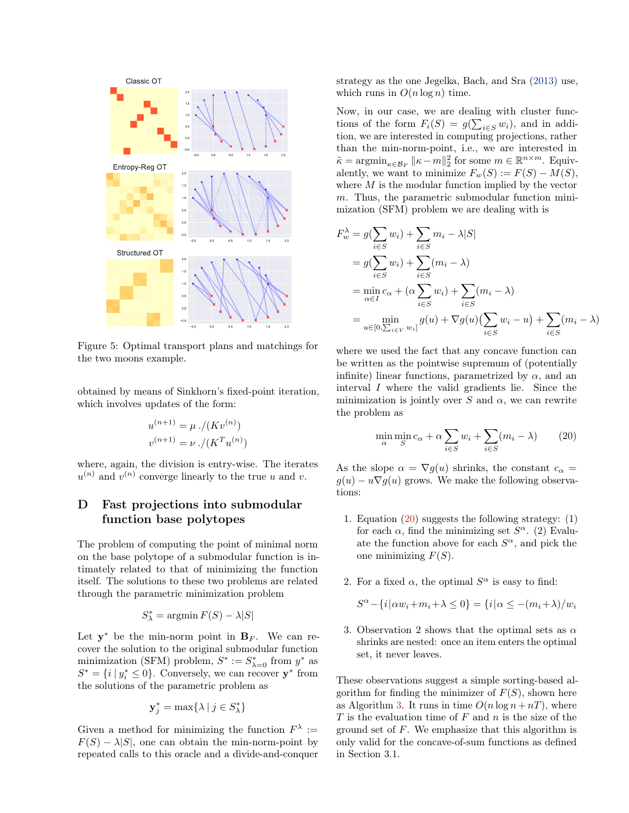<span id="page-1-0"></span>

Figure 5: Optimal transport plans and matchings for the two moons example.

obtained by means of Sinkhorn's fixed-point iteration, which involves updates of the form:

$$
u^{(n+1)} = \mu \cdot / (Kv^{(n)})
$$
  

$$
v^{(n+1)} = \nu \cdot / (K^{T}u^{(n)})
$$

where, again, the division is entry-wise. The iterates  $u^{(n)}$  and  $v^{(n)}$  converge linearly to the true *u* and *v*.

# D Fast projections into submodular function base polytopes

The problem of computing the point of minimal norm on the base polytope of a submodular function is intimately related to that of minimizing the function itself. The solutions to these two problems are related through the parametric minimization problem

$$
S^*_{\lambda} = \operatorname{argmin} F(S) - \lambda |S|
$$

Let  $y^*$  be the min-norm point in  $B_F$ . We can recover the solution to the original submodular function minimization (SFM) problem,  $S^* := S^*_{\lambda=0}$  from  $y^*$  as  $S^* = \{i \mid y_i^* \leq 0\}$ . Conversely, we can recover  $\mathbf{y}^*$  from the solutions of the parametric problem as

$$
\mathbf{y}_j^* = \max\{\lambda \mid j \in S_{\lambda}^*\}
$$

Given a method for minimizing the function  $F^{\lambda}$  :=  $F(S) - \lambda |S|$ , one can obtain the min-norm-point by repeated calls to this oracle and a divide-and-conquer

strategy as the one Jegelka, Bach, and Sra [\(2013\)](#page-0-4) use, which runs in  $O(n \log n)$  time.

Now, in our case, we are dealing with cluster functions of the form  $F_i(S) = g(\sum_{i \in S} w_i)$ , and in addition, we are interested in computing projections, rather than the min-norm-point, i.e., we are interested in  $\tilde{\kappa} = \operatorname{argmin}_{\kappa \in \mathcal{B}_F} ||\kappa - m||_2^2$  for some  $m \in \mathbb{R}^{n \times m}$ . Equivalently, we want to minimize  $F_w(S) := F(S) - M(S)$ , where  $M$  is the modular function implied by the vector *m*. Thus, the parametric submodular function minimization (SFM) problem we are dealing with is

$$
F_w^{\lambda} = g\left(\sum_{i \in S} w_i\right) + \sum_{i \in S} m_i - \lambda |S|
$$
  
=  $g\left(\sum_{i \in S} w_i\right) + \sum_{i \in S} (m_i - \lambda)$   
=  $\min_{\alpha \in I} c_{\alpha} + (\alpha \sum_{i \in S} w_i) + \sum_{i \in S} (m_i - \lambda)$   
=  $\min_{u \in [0, \sum_{i \in V} w_i]} g(u) + \nabla g(u) \left(\sum_{i \in S} w_i - u\right) + \sum_{i \in S} (m_i - \lambda)$ 

where we used the fact that any concave function can be written as the pointwise supremum of (potentially infinite) linear functions, parametrized by  $\alpha$ , and an interval *I* where the valid gradients lie. Since the minimization is jointly over  $S$  and  $\alpha$ , we can rewrite the problem as

<span id="page-1-1"></span>
$$
\min_{\alpha} \min_{S} c_{\alpha} + \alpha \sum_{i \in S} w_i + \sum_{i \in S} (m_i - \lambda) \tag{20}
$$

As the slope  $\alpha = \nabla g(u)$  shrinks, the constant  $c_{\alpha} =$  $g(u) - u\nabla g(u)$  grows. We make the following observations:

- 1. Equation  $(20)$  suggests the following strategy:  $(1)$ for each  $\alpha$ , find the minimizing set  $S^{\alpha}$ . (2) Evaluate the function above for each  $S^{\alpha}$ , and pick the one minimizing *F*(*S*).
- 2. For a fixed  $\alpha$ , the optimal  $S^{\alpha}$  is easy to find:

$$
S^{\alpha} - \{i|\alpha w_i + m_i + \lambda \le 0\} = \{i|\alpha \le -(m_i + \lambda)/w_i
$$

3. Observation 2 shows that the optimal sets as  $\alpha$ shrinks are nested: once an item enters the optimal set, it never leaves.

These observations suggest a simple sorting-based algorithm for finding the minimizer of  $F(S)$ , shown here as Algorithm [3.](#page-2-0) It runs in time  $O(n \log n + nT)$ , where *T* is the evaluation time of *F* and *n* is the size of the ground set of *F*. We emphasize that this algorithm is only valid for the concave-of-sum functions as defined in Section 3.1.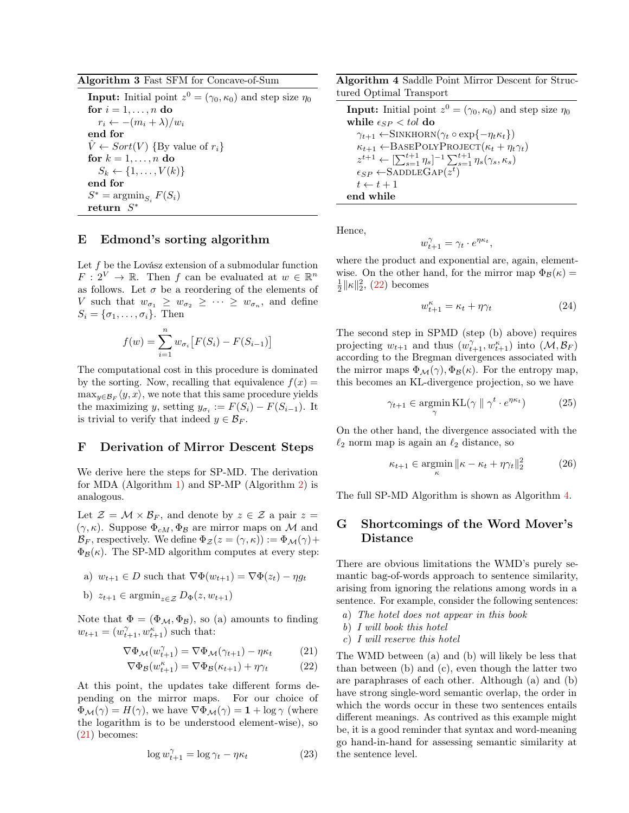#### <span id="page-2-0"></span>Algorithm 3 Fast SFM for Concave-of-Sum

**Input:** Initial point  $z^0 = (\gamma_0, \kappa_0)$  and step size  $\eta_0$ for  $i = 1, \ldots, n$  do  $r_i \leftarrow -(m_i + \lambda)/w_i$ end for  $\hat{V} \leftarrow Sort(V)$  {By value of  $r_i$ } for  $k = 1, \ldots, n$  do  $S_k \leftarrow \{1, \ldots, V(k)\}$ end for  $S^* = \operatorname{argmin}_{S_i} F(S_i)$ return  $S^*$ 

#### E Edmond's sorting algorithm

Let *f* be the Lovász extension of a submodular function  $F: 2^V \to \mathbb{R}$ . Then *f* can be evaluated at  $w \in \mathbb{R}^n$ as follows. Let  $\sigma$  be a reordering of the elements of *V* such that  $w_{\sigma_1} \geq w_{\sigma_2} \geq \cdots \geq w_{\sigma_n}$ , and define  $S_i = {\sigma_1, \ldots, \sigma_i}$ . Then

$$
f(w) = \sum_{i=1}^{n} w_{\sigma_i} [F(S_i) - F(S_{i-1})]
$$

The computational cost in this procedure is dominated by the sorting. Now, recalling that equivalence  $f(x) =$  $\max_{y \in \mathcal{B}_F} \langle y, x \rangle$ , we note that this same procedure yields the maximizing *y*, setting  $y_{\sigma_i} := F(S_i) - F(S_{i-1})$ . It is trivial to verify that indeed  $y \in \mathcal{B}_F$ .

#### F Derivation of Mirror Descent Steps

We derive here the steps for SP-MD. The derivation for MDA (Algorithm [1\)](#page-0-5) and SP-MP (Algorithm [2\)](#page-0-6) is analogous.

Let  $\mathcal{Z} = \mathcal{M} \times \mathcal{B}_F$ , and denote by  $z \in \mathcal{Z}$  a pair  $z =$  $(\gamma, \kappa)$ . Suppose  $\Phi_{cM}$ ,  $\Phi_{\beta}$  are mirror maps on M and  $\mathcal{B}_F$ , respectively. We define  $\Phi_Z(z = (\gamma, \kappa)) := \Phi_{\mathcal{M}}(\gamma) +$  $\Phi_B(\kappa)$ . The SP-MD algorithm computes at every step:

a) 
$$
w_{t+1} \in D
$$
 such that  $\nabla \Phi(w_{t+1}) = \nabla \Phi(z_t) - \eta g_t$ 

b)  $z_{t+1} \in \operatorname{argmin}_{z \in \mathcal{Z}} D_{\Phi}(z, w_{t+1})$ 

Note that  $\Phi = (\Phi_{\mathcal{M}}, \Phi_{\mathcal{B}})$ , so (a) amounts to finding  $w_{t+1} = (w_{t+1}^{\gamma}, w_{t+1}^{\kappa})$  such that:

$$
\nabla \Phi_{\mathcal{M}}(w_{t+1}^{\gamma}) = \nabla \Phi_{\mathcal{M}}(\gamma_{t+1}) - \eta \kappa_t \tag{21}
$$

$$
\nabla \Phi_{\mathcal{B}}(w_{t+1}^{\kappa}) = \nabla \Phi_{\mathcal{B}}(\kappa_{t+1}) + \eta \gamma_t \tag{22}
$$

At this point, the updates take different forms depending on the mirror maps. For our choice of  $\Phi_{\mathcal{M}}(\gamma) = H(\gamma)$ , we have  $\nabla \Phi_{\mathcal{M}}(\gamma) = 1 + \log \gamma$  (where the logarithm is to be understood element-wise), so [\(21\)](#page-2-1) becomes:

$$
\log w_{t+1}^{\gamma} = \log \gamma_t - \eta \kappa_t \tag{23}
$$

<span id="page-2-3"></span>Algorithm 4 Saddle Point Mirror Descent for Structured Optimal Transport

**Input:** Initial point  $z^0 = (\gamma_0, \kappa_0)$  and step size  $\eta_0$ while  $\epsilon_{SP} < tol$  do  $\gamma_{t+1} \leftarrow$ SINKHORN( $\gamma_t \circ \exp\{-\eta_t \kappa_t\}$ )  $\kappa_{t+1} \leftarrow$ BASEPOLYPROJECT $(\kappa_t + \eta_t \gamma_t)$  $z^{t+1} \leftarrow \left[ \sum_{s=1}^{t+1} \eta_s \right]^{-1} \sum_{s=1}^{t+1} \eta_s(\gamma_s, \kappa_s)$  $\epsilon_{SP} \leftarrow$ SADDLEGAP( $z^t$ )  $t \leftarrow t + 1$ end while

Hence,

$$
w_{t+1}^{\gamma} = \gamma_t \cdot e^{\eta \kappa_t},
$$

where the product and exponential are, again, elementwise. On the other hand, for the mirror map  $\Phi_B(\kappa)$  =  $\frac{1}{2} \|\kappa\|_2^2$ , [\(22\)](#page-2-2) becomes

$$
w_{t+1}^{\kappa} = \kappa_t + \eta \gamma_t \tag{24}
$$

The second step in SPMD (step (b) above) requires projecting  $w_{t+1}$  and thus  $(w_{t+1}^{\gamma}, w_{t+1}^{\kappa})$  into  $(\mathcal{M}, \mathcal{B}_F)$ according to the Bregman divergences associated with the mirror maps  $\Phi_{\mathcal{M}}(\gamma), \Phi_{\mathcal{B}}(\kappa)$ . For the entropy map, this becomes an KL-divergence projection, so we have

$$
\gamma_{t+1} \in \operatorname*{argmin}_{\gamma} \mathrm{KL}(\gamma \parallel \gamma^t \cdot e^{\eta \kappa_t}) \tag{25}
$$

On the other hand, the divergence associated with the  $\ell_2$  norm map is again an  $\ell_2$  distance, so

$$
\kappa_{t+1} \in \operatorname*{argmin}_{\kappa} \|\kappa - \kappa_t + \eta \gamma_t\|_2^2 \tag{26}
$$

The full SP-MD Algorithm is shown as Algorithm [4.](#page-2-3)

### G Shortcomings of the Word Mover's Distance

There are obvious limitations the WMD's purely semantic bag-of-words approach to sentence similarity, arising from ignoring the relations among words in a sentence. For example, consider the following sentences:

- *a*) *The hotel does not appear in this book*
- *b*) *I will book this hotel*
- *c*) *I will reserve this hotel*

<span id="page-2-2"></span><span id="page-2-1"></span>The WMD between (a) and (b) will likely be less that than between (b) and (c), even though the latter two are paraphrases of each other. Although (a) and (b) have strong single-word semantic overlap, the order in which the words occur in these two sentences entails different meanings. As contrived as this example might be, it is a good reminder that syntax and word-meaning go hand-in-hand for assessing semantic similarity at the sentence level.